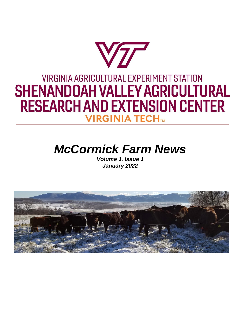# VTT **VIRGINIA AGRICULTURAL EXPERIMENT STATION SHENANDOAH VALLEY AGRICULTURAL RESEARCH AND EXTENSION CENTER VIRGINIA TECHTM**

## *McCormick Farm News*

*Volume 1, Issue 1 January 2022*

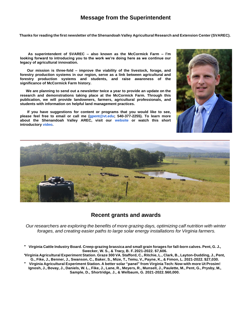#### **Message from the Superintendent**

Thanks for reading the first newsletter of the Shenandoah Valley Agricultural Research and Extension Center (SVAREC).

**As superintendent of SVAREC – also known as the McCormick Farm – I'm looking forward to introducing you to the work we're doing here as we continue our legacy of agricultural innovation.**

**Our mission is three-fold – improve the viability of the livestock, forage, and forestry production systems in our region, serve as a link between agricultural and forestry production systems and students, and raise awareness of the significance of McCormick Farm history.**

**We are planning to send out a newsletter twice a year to provide an update on the research and demonstrations taking place at the McCormick Farm. Through this publication, we will provide landowners, farmers, agricultural professionals, and students with information on helpful land management practices.**

**If you have suggestions for content or programs that you would like to see, please feel free to email or call me [\(gpent@vt.edu;](mailto:gpent@vt.edu) 540-377-2255). To learn more about the Shenandoah Valley AREC, visit our [website](https://t.send.vt.edu/r/?id=h3990f08%2C43d1d44%2C43e0d63&utm_source=cmpgn_svarec&utm_medium=email&utm_campaign=CMP160_SVAREC-Jan22-1%3A1) or watch this short introducto[ry video](https://t.send.vt.edu/r/?id=h3990f08%2C43d1d44%2C43e0d64&utm_source=cmpgn_svarec&utm_medium=email&utm_campaign=CMP160_SVAREC-Jan22-1%3A1).**





#### **Recent grants and awards**

*Our researchers are exploring the benefits of more grazing days, optimizing calf nutrition with winter forages, and creating easier paths to large solar energy installations for Virginia farmers.*

Virginia Cattle Industry Board. Creep-grazing brassica and small grain forages for fall-born calves. Pent, G. J., **Swecker, W. S., & Tracy, B. F. 2021-2022. \$7,606.**

Virginia Agricultural Experiment Station. Graze 300 VA. Stafford, C., Ritchie, L., Clark, B., Layton-Dudding, J., Pent, G., Fike, J., Benner, J., Swanson, C., Baker, S., Mize, T., Temu, V., Payne, K., & Fimon, L. 2021-2022. \$27,030.

**Virginia Agricultural Experiment Station. A better solar "panel" from Virginia Tech: Now with more Ut Prosim!**  Ignosh, J., Bovay, J., Daniels, W. L., Fike, J., Lane, R., Meyers, R., Munsell, J., Paulette, M., Pent, G., Prysby, M., **Sample, D., Shortridge, J., & Welbaum, G. 2021-2022.\$60,000.**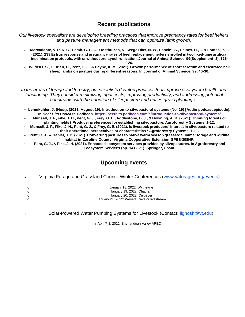#### **Recent publications**

*Our livestock specialists are developing breeding practices that improve pregnancy rates for beef heifers and pasture management methods that can optimize lambgrowth.*

- \* Mercadante, V. R. R. G., Lamb, G. C. C., Oosthuizen, N., Wege Dias, N. W., Pancini, S., Haines, H., ... & Fontes, P. L. (2021). 233 Estrus response and pregnancy rates of beef replacement heifers enrolled in two fixed-time artificial **insemination protocols, with or without pre-synchronization. Journal of Animal Science, 99(Supplement\_3), 125- 126.**
- Wildeus, S., O'Brien, D., Pent, G. J., & Payne, K. M. (2021). Growth performance of short scrotum and castrated hair **sheep lambs on pasture during different seasons. In Journal of Animal Science, 99, 40-30.**

*In the areas of forage and forestry, our scientists develop practices that improve ecosystem health and functioning. They consider minimizing input costs, improving productivity, and addressing potential constraints with the adoption of silvopasture and native grass plantings.*

- **Lehmkuhler, J. (Host). (2021, August 19). Introduction to silvopastoral systems (No. 19) [Audio podcast episode]. In** *Beef Bits Podcast***. Podbean.<https://beefbits.podbean.com/e/introduction-to-silvopastoral-systems/>**
- Munsell, J. F., Fike, J. H., Pent, G. J., Frey, G. E., Addlestone, B. J., & Downing, A. K. (2021). Thinning forests or **planting fields? Producer preferences for establishing silvopasture. Agroforestry Systems, 1-12.**
- Munsell, J. F., Fike, J. H., Pent, G. J., & Frey, G. E. (2021). Is livestock producers' interest in silvopasture related to **their operational perspectives or characteristics? Agroforestry Systems, 1-11.**
- Pent, G. J., & Daniel, J. B. (2021). Converting pastures to native warm season grasses: Summer forage and wildlife **habitat in Caroline County. Virginia Cooperative Extension,SPES-308NP.**
- Pent, G. J., & Fike, J. H. (2021). Enhanced ecosystem services provided by silvopastures. In Agroforestry and **Ecosystem Services (pp. 141-171). Springer, Cham.**

### **Upcoming events**

Virginia Forage and Grassland Council Winter Conferences [\(www.vaforages.org/events\)](http://www.vaforages.org/events)

| റ        | January 18, 2022: Wytheville                |
|----------|---------------------------------------------|
| റ        | January 19, 2022: Chatham                   |
| $\Omega$ | January 20, 2022: Culpeper                  |
| $\Omega$ | January 21, 2022: Weyers Cave or livestream |

Solar-Powered Water Pumping Systems for Livestock (Contact: [jignosh@vt.edu\)](mailto:jignosh@vt.edu)

o April 7-8, 2022: Shenandoah Valley AREC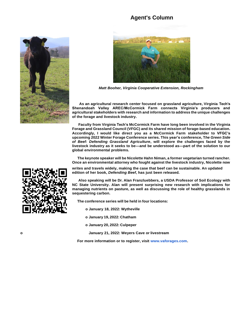#### **Agent's Column**





*Matt Booher, Virginia Cooperative Extension, Rockingham*

**As an agricultural research center focused on grassland agriculture, Virginia Tech's Shenandoah Valley AREC/McCormick Farm connects Virginia's producers and agricultural stakeholders with research and information to address the unique challenges of the forage and livestock industry.**

**Faculty from Virginia Tech's McCormick Farm have long been involved in the Virginia Forage and Grassland Council (VFGC) and its shared mission of forage-based education. Accordingly, I would like direct you as a McCormick Farm stakeholder to VFGC's upcoming 2022 Winter Forage Conference series. This year's conference, T***he Green Side of Beef: Defending Grassland Agriculture***, will explore the challenges faced by the livestock industry as it seeks to be—and be understood as—part of the solution to our global environmental problems.**

**The keynote speaker will be Nicolette Hahn Niman, a former vegetarian turned rancher. Once an environmental attorney who fought against the livestock industry, Nicolette now**

**writes and travels widely, making the case that beef can be sustainable. An updated edition of her book,** *Defending Beef***, has just been released.**

**Also speaking will be Dr. Alan Franzluebbers, a USDA Professor of Soil Ecology with NC State University. Alan will present surprising new research with implications for managing nutrients on pasture, as well as discussing the role of healthy grasslands in sequestering carbon.**

**The conference series will be held in four locations:** 

**o January 18, 2022: Wytheville**

**o January 19, 2022: Chatham**

**o January 20, 2022: Culpeper**

**o January 21, 2022: Weyers Cave or livestream**

**For more information or to register, visit [www.vaforages.com.](http://www.vaforages.com/)**